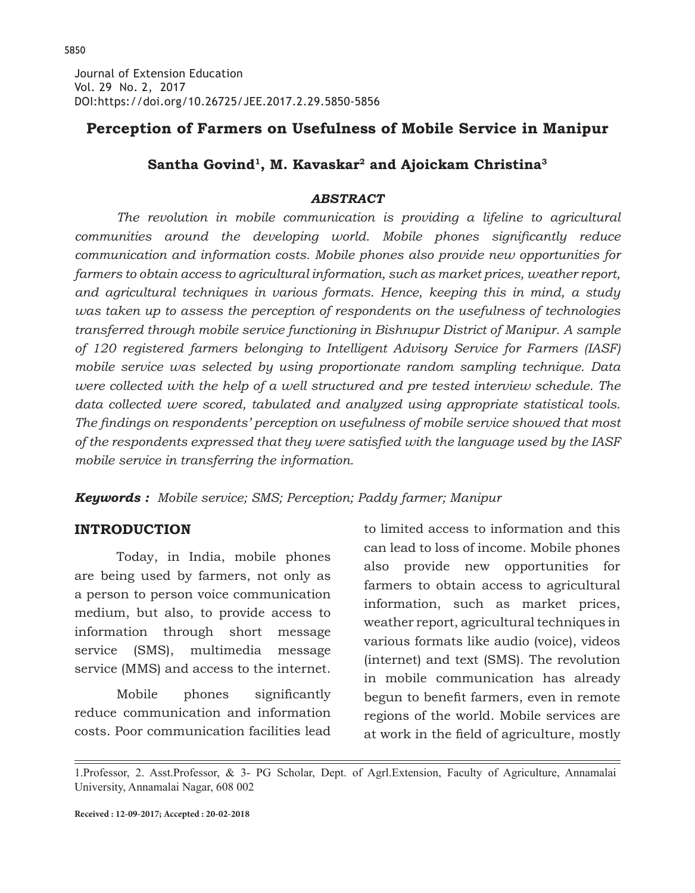## **Perception of Farmers on Usefulness of Mobile Service in Manipur**

## Santha Govind<sup>1</sup>, M. Kavaskar<sup>2</sup> and Ajoickam Christina<sup>3</sup>

### *ABSTRACT*

*The revolution in mobile communication is providing a lifeline to agricultural communities around the developing world. Mobile phones significantly reduce communication and information costs. Mobile phones also provide new opportunities for farmers to obtain access to agricultural information, such as market prices, weather report, and agricultural techniques in various formats. Hence, keeping this in mind, a study was taken up to assess the perception of respondents on the usefulness of technologies transferred through mobile service functioning in Bishnupur District of Manipur. A sample of 120 registered farmers belonging to Intelligent Advisory Service for Farmers (IASF) mobile service was selected by using proportionate random sampling technique. Data were collected with the help of a well structured and pre tested interview schedule. The data collected were scored, tabulated and analyzed using appropriate statistical tools. The findings on respondents' perception on usefulness of mobile service showed that most of the respondents expressed that they were satisfied with the language used by the IASF mobile service in transferring the information.*

*Keywords : Mobile service; SMS; Perception; Paddy farmer; Manipur*

### **INTRODUCTION**

Today, in India, mobile phones are being used by farmers, not only as a person to person voice communication medium, but also, to provide access to information through short message service (SMS), multimedia message service (MMS) and access to the internet.

 Mobile phones significantly reduce communication and information costs. Poor communication facilities lead to limited access to information and this can lead to loss of income. Mobile phones also provide new opportunities for farmers to obtain access to agricultural information, such as market prices, weather report, agricultural techniques in various formats like audio (voice), videos (internet) and text (SMS). The revolution in mobile communication has already begun to benefit farmers, even in remote regions of the world. Mobile services are at work in the field of agriculture, mostly

1.Professor, 2. Asst.Professor, & 3- PG Scholar, Dept. of Agrl.Extension, Faculty of Agriculture, Annamalai University, Annamalai Nagar, 608 002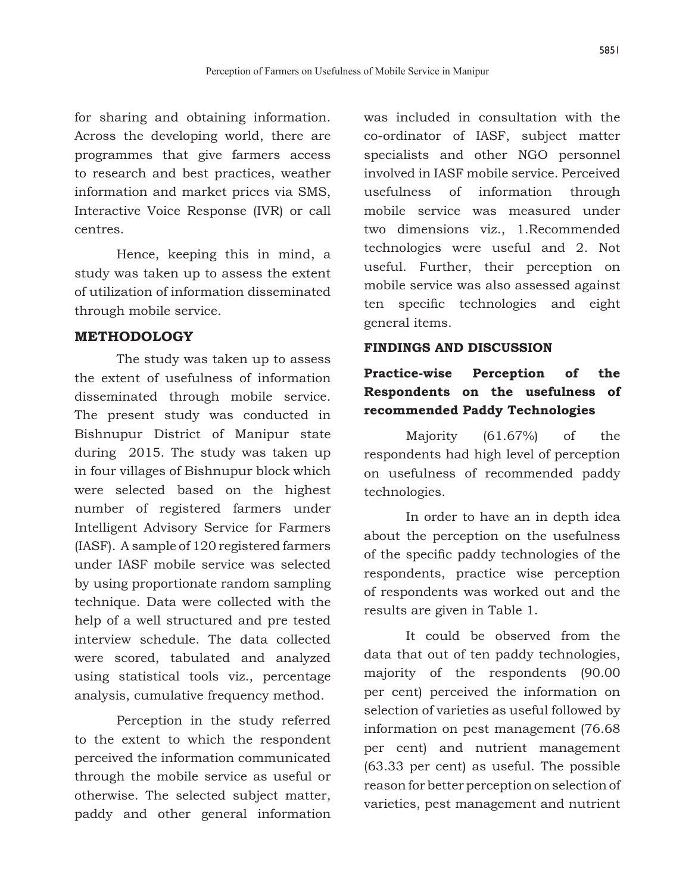for sharing and obtaining information. Across the developing world, there are programmes that give farmers access to research and best practices, weather information and market prices via SMS, Interactive Voice Response (IVR) or call centres.

Hence, keeping this in mind, a study was taken up to assess the extent of utilization of information disseminated through mobile service.

#### **METHODOLOGY**

The study was taken up to assess the extent of usefulness of information disseminated through mobile service. The present study was conducted in Bishnupur District of Manipur state during 2015. The study was taken up in four villages of Bishnupur block which were selected based on the highest number of registered farmers under Intelligent Advisory Service for Farmers (IASF). A sample of 120 registered farmers under IASF mobile service was selected by using proportionate random sampling technique. Data were collected with the help of a well structured and pre tested interview schedule. The data collected were scored, tabulated and analyzed using statistical tools viz., percentage analysis, cumulative frequency method.

Perception in the study referred to the extent to which the respondent perceived the information communicated through the mobile service as useful or otherwise. The selected subject matter, paddy and other general information was included in consultation with the co-ordinator of IASF, subject matter specialists and other NGO personnel involved in IASF mobile service. Perceived usefulness of information through mobile service was measured under two dimensions viz., 1.Recommended technologies were useful and 2. Not useful. Further, their perception on mobile service was also assessed against ten specific technologies and eight general items.

#### **FINDINGS AND DISCUSSION**

## **Practice-wise Perception of the Respondents on the usefulness of recommended Paddy Technologies**

Majority (61.67%) of the respondents had high level of perception on usefulness of recommended paddy technologies.

In order to have an in depth idea about the perception on the usefulness of the specific paddy technologies of the respondents, practice wise perception of respondents was worked out and the results are given in Table 1.

It could be observed from the data that out of ten paddy technologies, majority of the respondents (90.00 per cent) perceived the information on selection of varieties as useful followed by information on pest management (76.68 per cent) and nutrient management (63.33 per cent) as useful. The possible reason for better perception on selection of varieties, pest management and nutrient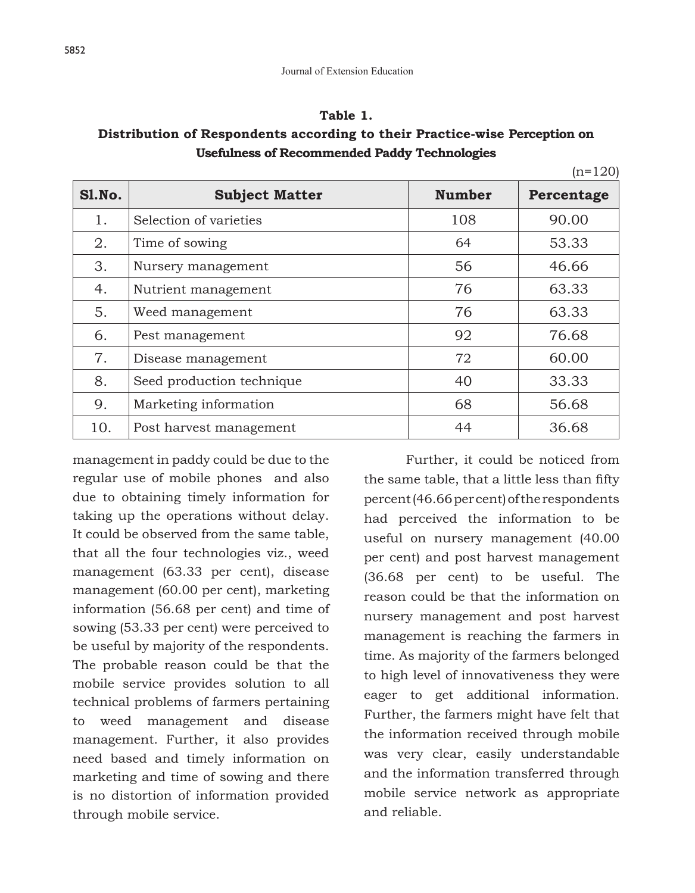#### **Table 1.**

### **Distribution of Respondents according to their Practice-wise Perception on Usefulness of Recommended Paddy Technologies**

|        |                           |               | $(n=120)$  |
|--------|---------------------------|---------------|------------|
| Sl.No. | <b>Subject Matter</b>     | <b>Number</b> | Percentage |
| 1.     | Selection of varieties    | 108           | 90.00      |
| 2.     | Time of sowing            | 64            | 53.33      |
| 3.     | Nursery management        | 56            | 46.66      |
| 4.     | Nutrient management       | 76            | 63.33      |
| 5.     | Weed management           | 76            | 63.33      |
| 6.     | Pest management           | 92            | 76.68      |
| 7.     | Disease management        | 72            | 60.00      |
| 8.     | Seed production technique | 40            | 33.33      |
| 9.     | Marketing information     | 68            | 56.68      |
| 10.    | Post harvest management   | 44            | 36.68      |

management in paddy could be due to the regular use of mobile phones and also due to obtaining timely information for taking up the operations without delay. It could be observed from the same table, that all the four technologies viz., weed management (63.33 per cent), disease management (60.00 per cent), marketing information (56.68 per cent) and time of sowing (53.33 per cent) were perceived to be useful by majority of the respondents. The probable reason could be that the mobile service provides solution to all technical problems of farmers pertaining to weed management and disease management. Further, it also provides need based and timely information on marketing and time of sowing and there is no distortion of information provided through mobile service.

Further, it could be noticed from the same table, that a little less than fifty percent (46.66 per cent) of the respondents had perceived the information to be useful on nursery management (40.00 per cent) and post harvest management (36.68 per cent) to be useful. The reason could be that the information on nursery management and post harvest management is reaching the farmers in time. As majority of the farmers belonged to high level of innovativeness they were eager to get additional information. Further, the farmers might have felt that the information received through mobile was very clear, easily understandable and the information transferred through mobile service network as appropriate and reliable.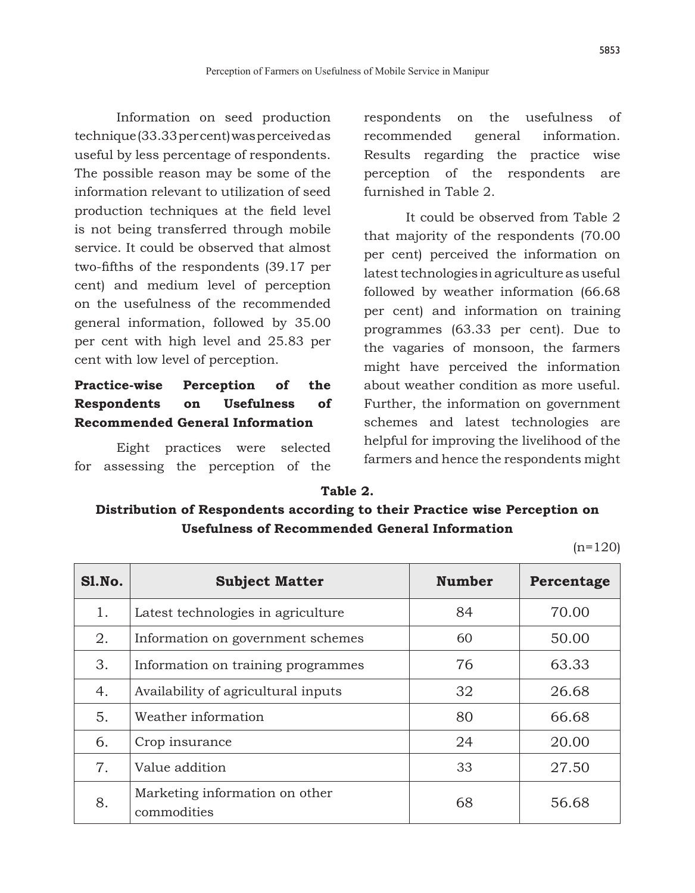Information on seed production technique (33.33 per cent) was perceived as useful by less percentage of respondents. The possible reason may be some of the information relevant to utilization of seed production techniques at the field level is not being transferred through mobile service. It could be observed that almost two-fifths of the respondents (39.17 per cent) and medium level of perception on the usefulness of the recommended general information, followed by 35.00 per cent with high level and 25.83 per cent with low level of perception.

# **Practice-wise Perception of the Respondents on Usefulness of Recommended General Information**

Eight practices were selected for assessing the perception of the respondents on the usefulness of recommended general information. Results regarding the practice wise perception of the respondents are furnished in Table 2.

It could be observed from Table 2 that majority of the respondents (70.00 per cent) perceived the information on latest technologies in agriculture as useful followed by weather information (66.68 per cent) and information on training programmes (63.33 per cent). Due to the vagaries of monsoon, the farmers might have perceived the information about weather condition as more useful. Further, the information on government schemes and latest technologies are helpful for improving the livelihood of the farmers and hence the respondents might

#### **Table 2.**

### **Distribution of Respondents according to their Practice wise Perception on Usefulness of Recommended General Information**

 $(n=120)$ 

| S1.No. | <b>Subject Matter</b>                         | <b>Number</b> | Percentage |
|--------|-----------------------------------------------|---------------|------------|
| 1.     | Latest technologies in agriculture            | 84            | 70.00      |
| 2.     | Information on government schemes             | 60            | 50.00      |
| 3.     | Information on training programmes            | 76            | 63.33      |
| 4.     | Availability of agricultural inputs           | 32            | 26.68      |
| 5.     | Weather information                           | 80            | 66.68      |
| 6.     | Crop insurance                                | 24            | 20.00      |
| 7.     | Value addition                                | 33            | 27.50      |
| 8.     | Marketing information on other<br>commodities | 68            | 56.68      |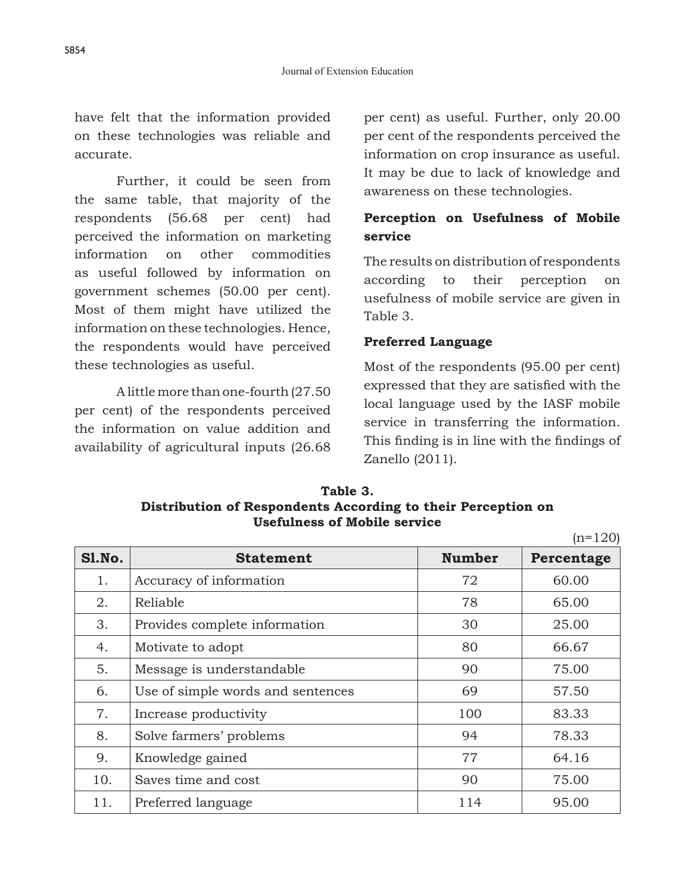have felt that the information provided on these technologies was reliable and accurate.

Further, it could be seen from the same table, that majority of the respondents (56.68 per cent) had perceived the information on marketing information on other commodities as useful followed by information on government schemes (50.00 per cent). Most of them might have utilized the information on these technologies. Hence, the respondents would have perceived these technologies as useful.

A little more than one-fourth (27.50 per cent) of the respondents perceived the information on value addition and availability of agricultural inputs (26.68 per cent) as useful. Further, only 20.00 per cent of the respondents perceived the information on crop insurance as useful. It may be due to lack of knowledge and awareness on these technologies.

## **Perception on Usefulness of Mobile service**

The results on distribution of respondents according to their perception on usefulness of mobile service are given in Table 3.

### **Preferred Language**

Most of the respondents (95.00 per cent) expressed that they are satisfied with the local language used by the IASF mobile service in transferring the information. This finding is in line with the findings of Zanello (2011).

 $(n=100)$ 

| Table 3.                                                     |  |  |  |  |  |
|--------------------------------------------------------------|--|--|--|--|--|
| Distribution of Respondents According to their Perception on |  |  |  |  |  |
| <b>Usefulness of Mobile service</b>                          |  |  |  |  |  |

|               | $(11 - 120)$                      |               |            |
|---------------|-----------------------------------|---------------|------------|
| <b>S1.No.</b> | <b>Statement</b>                  | <b>Number</b> | Percentage |
| 1.            | Accuracy of information           | 72            | 60.00      |
| 2.            | Reliable                          | 78            | 65.00      |
| 3.            | Provides complete information     | 30            | 25.00      |
| 4.            | Motivate to adopt                 | 80            | 66.67      |
| 5.            | Message is understandable         | 90            | 75.00      |
| 6.            | Use of simple words and sentences | 69            | 57.50      |
| 7.            | Increase productivity             | 100           | 83.33      |
| 8.            | Solve farmers' problems           | 94            | 78.33      |
| 9.            | Knowledge gained                  | 77            | 64.16      |
| 10.           | Saves time and cost               | 90            | 75.00      |
| 11.           | Preferred language                | 114           | 95.00      |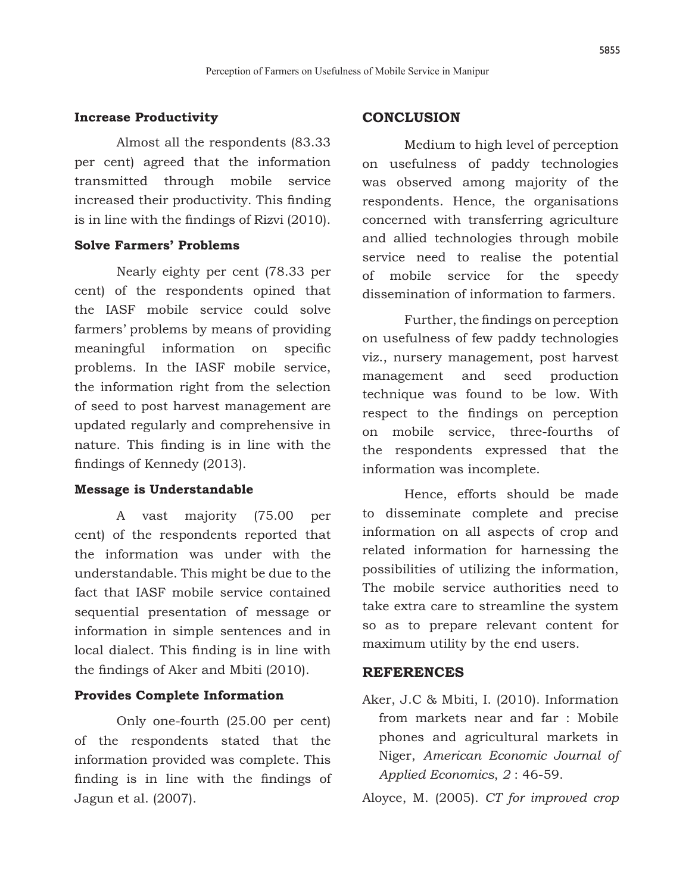#### **Increase Productivity**

Almost all the respondents (83.33 per cent) agreed that the information transmitted through mobile service increased their productivity. This finding is in line with the findings of Rizvi (2010).

### **Solve Farmers' Problems**

Nearly eighty per cent (78.33 per cent) of the respondents opined that the IASF mobile service could solve farmers' problems by means of providing meaningful information on specific problems. In the IASF mobile service, the information right from the selection of seed to post harvest management are updated regularly and comprehensive in nature. This finding is in line with the findings of Kennedy (2013).

#### **Message is Understandable**

A vast majority (75.00 per cent) of the respondents reported that the information was under with the understandable. This might be due to the fact that IASF mobile service contained sequential presentation of message or information in simple sentences and in local dialect. This finding is in line with the findings of Aker and Mbiti (2010).

#### **Provides Complete Information**

Only one-fourth (25.00 per cent) of the respondents stated that the information provided was complete. This finding is in line with the findings of Jagun et al. (2007).

#### **CONCLUSION**

Medium to high level of perception on usefulness of paddy technologies was observed among majority of the respondents. Hence, the organisations concerned with transferring agriculture and allied technologies through mobile service need to realise the potential of mobile service for the speedy dissemination of information to farmers.

 Further, the findings on perception on usefulness of few paddy technologies viz., nursery management, post harvest management and seed production technique was found to be low. With respect to the findings on perception on mobile service, three-fourths of the respondents expressed that the information was incomplete.

Hence, efforts should be made to disseminate complete and precise information on all aspects of crop and related information for harnessing the possibilities of utilizing the information, The mobile service authorities need to take extra care to streamline the system so as to prepare relevant content for maximum utility by the end users.

#### **REFERENCES**

Aker, J.C & Mbiti, I. (2010). Information from markets near and far : Mobile phones and agricultural markets in Niger, *American Economic Journal of Applied Economics*, *2* : 46-59.

Aloyce, M. (2005). *CT for improved crop*